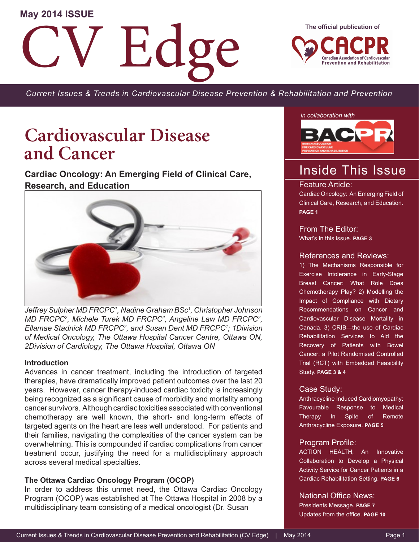#### **May 2014 ISSUE**

Edge

**The official publication of**



*Current Issues & Trends in Cardiovascular Disease Prevention & Rehabilitation and Prevention*

## **Cardiovascular Disease and Cancer**

**Cardiac Oncology: An Emerging Field of Clinical Care, Research, and Education**



*Jeffrey Sulpher MD FRCPC1 , Nadine Graham BSc1 , Christopher Johnson MD FRCPC2 , Michele Turek MD FRCPC2 , Angeline Law MD FRCPC2 , Ellamae Stadnick MD FRCPC2 , and Susan Dent MD FRCPC1 ; 1Division of Medical Oncology, The Ottawa Hospital Cancer Centre, Ottawa ON, 2Division of Cardiology, The Ottawa Hospital, Ottawa ON*

#### **Introduction**

Advances in cancer treatment, including the introduction of targeted therapies, have dramatically improved patient outcomes over the last 20 years. However, cancer therapy-induced cardiac toxicity is increasingly being recognized as a significant cause of morbidity and mortality among cancer survivors. Although cardiac toxicities associated with conventional chemotherapy are well known, the short- and long-term effects of targeted agents on the heart are less well understood. For patients and their families, navigating the complexities of the cancer system can be overwhelming. This is compounded if cardiac complications from cancer treatment occur, justifying the need for a multidisciplinary approach across several medical specialties.

#### **The Ottawa Cardiac Oncology Program (OCOP)**

In order to address this unmet need, the Ottawa Cardiac Oncology Program (OCOP) was established at The Ottawa Hospital in 2008 by a multidisciplinary team consisting of a medical oncologist (Dr. Susan

*in collaboration with*



### Inside This Issue

#### Feature Article:

Cardiac Oncology: An Emerging Field of Clinical Care, Research, and Education. **PAGE 1**

From The Editor: What's in this issue. **PAGE 3**

#### References and Reviews:

1) The Mechanisms Responsible for Exercise Intolerance in Early-Stage Breast Cancer: What Role Does Chemotherapy Play? 2) Modelling the Impact of Compliance with Dietary Recommendations on Cancer and Cardiovascular Disease Mortality in Canada. 3) CRIB—the use of Cardiac Rehabilitation Services to Aid the Recovery of Patients with Bowel Cancer: a Pilot Randomised Controlled Trial (RCT) with Embedded Feasibility Study. **PAGE 3 & 4**

#### Case Study:

Anthracycline Induced Cardiomyopathy: Favourable Response to Medical Therapy In Spite of Remote Anthracycline Exposure. **PAGE 5** 

#### Program Profile:

ACTION HEALTH; An Innovative Collaboration to Develop a Physical Activity Service for Cancer Patients in a Cardiac Rehabilitation Setting. **PAGE 6**

National Office News:

Presidents Message. **PAGE 7**  Updates from the office. **PAGE 10**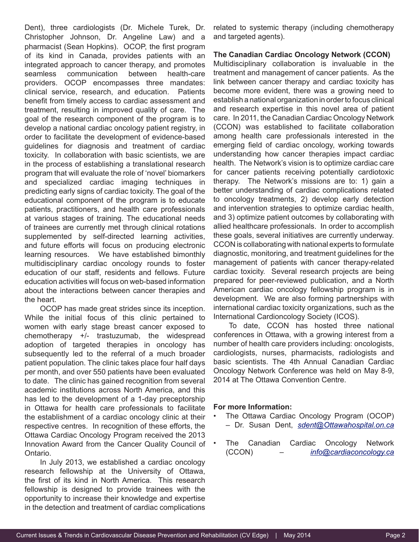Dent), three cardiologists (Dr. Michele Turek, Dr. Christopher Johnson, Dr. Angeline Law) and a pharmacist (Sean Hopkins). OCOP, the first program of its kind in Canada, provides patients with an integrated approach to cancer therapy, and promotes seamless communication between health-care providers. OCOP encompasses three mandates: clinical service, research, and education. Patients benefit from timely access to cardiac assessment and treatment, resulting in improved quality of care. The goal of the research component of the program is to develop a national cardiac oncology patient registry, in order to facilitate the development of evidence-based guidelines for diagnosis and treatment of cardiac toxicity. In collaboration with basic scientists, we are in the process of establishing a translational research program that will evaluate the role of 'novel' biomarkers and specialized cardiac imaging techniques in predicting early signs of cardiac toxicity. The goal of the educational component of the program is to educate patients, practitioners, and health care professionals at various stages of training. The educational needs of trainees are currently met through clinical rotations supplemented by self-directed learning activities, and future efforts will focus on producing electronic learning resources. We have established bimonthly multidisciplinary cardiac oncology rounds to foster education of our staff, residents and fellows. Future education activities will focus on web-based information about the interactions between cancer therapies and the heart.

OCOP has made great strides since its inception. While the initial focus of this clinic pertained to women with early stage breast cancer exposed to chemotherapy +/- trastuzumab, the widespread adoption of targeted therapies in oncology has subsequently led to the referral of a much broader patient population. The clinic takes place four half days per month, and over 550 patients have been evaluated to date. The clinic has gained recognition from several academic institutions across North America, and this has led to the development of a 1-day preceptorship in Ottawa for health care professionals to facilitate the establishment of a cardiac oncology clinic at their respective centres. In recognition of these efforts, the Ottawa Cardiac Oncology Program received the 2013 Innovation Award from the Cancer Quality Council of Ontario.

In July 2013, we established a cardiac oncology research fellowship at the University of Ottawa, the first of its kind in North America. This research fellowship is designed to provide trainees with the opportunity to increase their knowledge and expertise in the detection and treatment of cardiac complications

related to systemic therapy (including chemotherapy and targeted agents).

**The Canadian Cardiac Oncology Network (CCON)** Multidisciplinary collaboration is invaluable in the treatment and management of cancer patients. As the link between cancer therapy and cardiac toxicity has become more evident, there was a growing need to establish a national organization in order to focus clinical and research expertise in this novel area of patient care. In 2011, the Canadian Cardiac Oncology Network (CCON) was established to facilitate collaboration among health care professionals interested in the emerging field of cardiac oncology, working towards understanding how cancer therapies impact cardiac health. The Network's vision is to optimize cardiac care for cancer patients receiving potentially cardiotoxic therapy. The Network's missions are to: 1) gain a better understanding of cardiac complications related to oncology treatments, 2) develop early detection and intervention strategies to optimize cardiac health, and 3) optimize patient outcomes by collaborating with allied healthcare professionals. In order to accomplish these goals, several initiatives are currently underway. CCON is collaborating with national experts to formulate diagnostic, monitoring, and treatment guidelines for the management of patients with cancer therapy-related cardiac toxicity. Several research projects are being prepared for peer-reviewed publication, and a North American cardiac oncology fellowship program is in development. We are also forming partnerships with international cardiac toxicity organizations, such as the International Cardioncology Society (ICOS).

To date, CCON has hosted three national conferences in Ottawa, with a growing interest from a number of health care providers including: oncologists, cardiologists, nurses, pharmacists, radiologists and basic scientists. The 4th Annual Canadian Cardiac Oncology Network Conference was held on May 8-9, 2014 at The Ottawa Convention Centre.

#### **For more Information:**

- The Ottawa Cardiac Oncology Program (OCOP) – Dr. Susan Dent, *sdent@Ottawahospital.on.ca*
- The Canadian Cardiac Oncology Network (CCON) – *info@cardiaconcology.ca*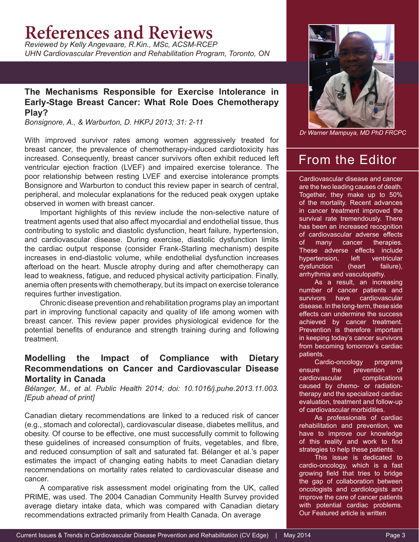## **References and Reviews**

*Reviewed by Kelly Angevaare, R.Kin., MSc, ACSM-RCEP UHN Cardiovascular Prevention and Rehabilitation Program, Toronto, ON*

#### **The Mechanisms Responsible for Exercise Intolerance in Early-Stage Breast Cancer: What Role Does Chemotherapy Play?**

*Bonsignore, A., & Warburton, D. HKPJ 2013; 31: 2-11*

With improved survivor rates among women aggressively treated for breast cancer, the prevalence of chemotherapy-induced cardiotoxicity has increased. Consequently, breast cancer survivors often exhibit reduced left ventricular ejection fraction (LVEF) and impaired exercise tolerance. The poor relationship between resting LVEF and exercise intolerance prompts Bonsignore and Warburton to conduct this review paper in search of central, peripheral, and molecular explanations for the reduced peak oxygen uptake observed in women with breast cancer.

Important highlights of this review include the non-selective nature of treatment agents used that also affect myocardial and endothelial tissue, thus contributing to systolic and diastolic dysfunction, heart failure, hypertension, and cardiovascular disease. During exercise, diastolic dysfunction limits the cardiac output response (consider Frank-Starling mechanism) despite increases in end-diastolic volume, while endothelial dysfunction increases afterload on the heart. Muscle atrophy during and after chemotherapy can lead to weakness, fatigue, and reduced physical activity participation. Finally, anemia often presents with chemotherapy, but its impact on exercise tolerance requires further investigation.

Chronic disease prevention and rehabilitation programs play an important part in improving functional capacity and quality of life among women with breast cancer. This review paper provides physiological evidence for the potential benefits of endurance and strength training during and following treatment.

#### **Modelling the Impact of Compliance with Dietary Recommendations on Cancer and Cardiovascular Disease Mortality in Canada**

*Bélanger, M., et al. Public Health 2014; doi: 10.1016/j.puhe.2013.11.003. [Epub ahead of print]*

Canadian dietary recommendations are linked to a reduced risk of cancer (e.g., stomach and colorectal), cardiovascular disease, diabetes mellitus, and obesity. Of course to be effective, one must successfully commit to following these guidelines of increased consumption of fruits, vegetables, and fibre, and reduced consumption of salt and saturated fat. Bélanger et al.'s paper estimates the impact of changing eating habits to meet Canadian dietary recommendations on mortality rates related to cardiovascular disease and cancer.

A comparative risk assessment model originating from the UK, called PRIME, was used. The 2004 Canadian Community Health Survey provided average dietary intake data, which was compared with Canadian dietary recommendations extracted primarily from Health Canada. On average



*Dr Warner Mampuya, MD PhD FRCPC*

### From the Editor

Cardiovascular disease and cancer are the two leading causes of death. Together, they make up to 50% of the mortality. Recent advances in cancer treatment improved the survival rate tremendously. There has been an increased recognition of cardiovascular adverse effects of many cancer therapies. These adverse effects include hypertension, left ventricular dysfunction (heart failure), arrhythmia and vasculopathy.

As a result, an increasing number of cancer patients and survivors have cardiovascular disease. In the long-term, these side effects can undermine the success achieved by cancer treatment. Prevention is therefore important in keeping today's cancer survivors from becoming tomorrow's cardiac patients.

Cardio-oncology programs ensure the prevention of cardiovascular complications caused by chemo- or radiationtherapy and the specialized cardiac evaluation, treatment and follow-up of cardiovascular morbidities.

As professionals of cardiac rehabilitation and prevention, we have to improve our knowledge of this reality and work to find strategies to help these patients.

This issue is dedicated to cardio-oncology, which is a fast growing field that tries to bridge the gap of collaboration between oncologists and cardiologists and improve the care of cancer patients with potential cardiac problems. Our Featured article is written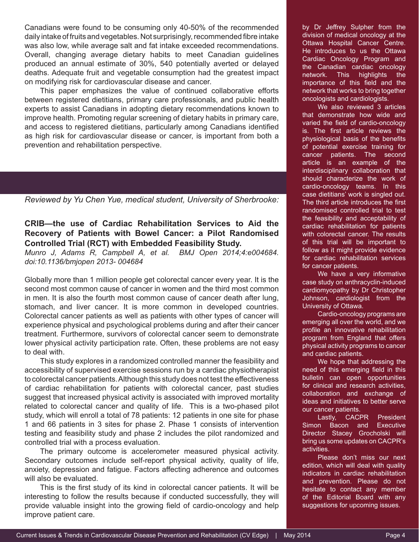Canadians were found to be consuming only 40-50% of the recommended daily intake of fruits and vegetables. Not surprisingly, recommended fibre intake was also low, while average salt and fat intake exceeded recommendations. Overall, changing average dietary habits to meet Canadian guidelines produced an annual estimate of 30%, 540 potentially averted or delayed deaths. Adequate fruit and vegetable consumption had the greatest impact on modifying risk for cardiovascular disease and cancer.

This paper emphasizes the value of continued collaborative efforts between registered dietitians, primary care professionals, and public health experts to assist Canadians in adopting dietary recommendations known to improve health. Promoting regular screening of dietary habits in primary care, and access to registered dietitians, particularly among Canadians identified as high risk for cardiovascular disease or cancer, is important from both a prevention and rehabilitation perspective.

*Reviewed by Yu Chen Yue, medical student, University of Sherbrooke:*

#### **CRIB—the use of Cardiac Rehabilitation Services to Aid the Recovery of Patients with Bowel Cancer: a Pilot Randomised Controlled Trial (RCT) with Embedded Feasibility Study.**

*Munro J, Adams R, Campbell A, et al. BMJ Open 2014;4:e004684. doi:10.1136/bmjopen 2013- 004684*

Globally more than 1 million people get colorectal cancer every year. It is the second most common cause of cancer in women and the third most common in men. It is also the fourth most common cause of cancer death after lung, stomach, and liver cancer. It is more common in developed countries. Colorectal cancer patients as well as patients with other types of cancer will experience physical and psychological problems during and after their cancer treatment. Furthermore, survivors of colorectal cancer seem to demonstrate lower physical activity participation rate. Often, these problems are not easy to deal with.

This study explores in a randomized controlled manner the feasibility and accessibility of supervised exercise sessions run by a cardiac physiotherapist to colorectal cancer patients. Although this study does not test the effectiveness of cardiac rehabilitation for patients with colorectal cancer, past studies suggest that increased physical activity is associated with improved mortality related to colorectal cancer and quality of life. This is a two-phased pilot study, which will enroll a total of 78 patients: 12 patients in one site for phase 1 and 66 patients in 3 sites for phase 2. Phase 1 consists of intervention testing and feasibility study and phase 2 includes the pilot randomized and controlled trial with a process evaluation.

The primary outcome is accelerometer measured physical activity. Secondary outcomes include self-report physical activity, quality of life, anxiety, depression and fatigue. Factors affecting adherence and outcomes will also be evaluated.

This is the first study of its kind in colorectal cancer patients. It will be interesting to follow the results because if conducted successfully, they will provide valuable insight into the growing field of cardio-oncology and help improve patient care.

by Dr Jeffrey Sulpher from the division of medical oncology at the Ottawa Hospital Cancer Centre. He introduces to us the Ottawa Cardiac Oncology Program and the Canadian cardiac oncology network. This highlights the importance of this field and the network that works to bring together oncologists and cardiologists.

We also reviewed 3 articles that demonstrate how wide and varied the field of cardio-oncology is. The first article reviews the physiological basis of the benefits of potential exercise training for cancer patients. The second article is an example of the interdisciplinary collaboration that should characterize the work of cardio-oncology teams. In this case dietitians' work is singled out. The third article introduces the first randomised controlled trial to test the feasibility and acceptability of cardiac rehabilitation for patients with colorectal cancer. The results of this trial will be important to follow as it might provide evidence for cardiac rehabilitation services for cancer patients.

We have a very informative case study on anthracyclin-induced cardiomyopathy by Dr Christopher Johnson, cardiologist from the University of Ottawa.

Cardio-oncology programs are emerging all over the world, and we profile an innovative rehabilitation program from England that offers physical activity programs to cancer and cardiac patients.

We hope that addressing the need of this emerging field in this bulletin can open opportunities for clinical and research activities, collaboration and exchange of ideas and initiatives to better serve our cancer patients.

Lastly, CACPR President Simon Bacon and Executive Director Stacey Grocholski will bring us some updates on CACPR's activities.

Please don't miss our next edition, which will deal with quality indicators in cardiac rehabilitation and prevention. Please do not hesitate to contact any member of the Editorial Board with any suggestions for upcoming issues.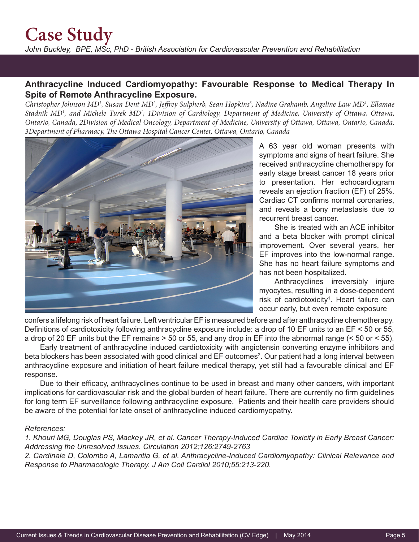## **Case Study**

*John Buckley, BPE, MSc, PhD - British Association for Cardiovascular Prevention and Rehabilitation*

#### **Anthracycline Induced Cardiomyopathy: Favourable Response to Medical Therapy In Spite of Remote Anthracycline Exposure.**

Christopher Johnson MD<sup>1</sup>, Susan Dent MD<sup>2</sup>, Jeffrey Sulpherb, Sean Hopkins<sup>3</sup>, Nadine Grahamb, Angeline Law MD<sup>1</sup>, Ellamae Stadnik MD<sup>1</sup>, and Michele Turek MD<sup>1</sup>; 1Division of Cardiology, Department of Medicine, University of Ottawa, Ottawa, *Ontario, Canada, 2Division of Medical Oncology, Department of Medicine, University of Ottawa, Ottawa, Ontario, Canada. 3Department of Pharmacy, The Ottawa Hospital Cancer Center, Ottawa, Ontario, Canada*



A 63 year old woman presents with symptoms and signs of heart failure. She received anthracycline chemotherapy for early stage breast cancer 18 years prior to presentation. Her echocardiogram reveals an ejection fraction (EF) of 25%. Cardiac CT confirms normal coronaries, and reveals a bony metastasis due to recurrent breast cancer.

She is treated with an ACE inhibitor and a beta blocker with prompt clinical improvement. Over several years, her EF improves into the low-normal range. She has no heart failure symptoms and has not been hospitalized.

Anthracyclines irreversibly injure myocytes, resulting in a dose-dependent risk of cardiotoxicity<sup>1</sup>. Heart failure can occur early, but even remote exposure

confers a lifelong risk of heart failure. Left ventricular EF is measured before and after anthracycline chemotherapy. Definitions of cardiotoxicity following anthracycline exposure include: a drop of 10 EF units to an EF < 50 or 55, a drop of 20 EF units but the EF remains > 50 or 55, and any drop in EF into the abnormal range (< 50 or < 55).

Early treatment of anthracycline induced cardiotoxicity with angiotensin converting enzyme inhibitors and beta blockers has been associated with good clinical and EF outcomes<sup>2</sup>. Our patient had a long interval between anthracycline exposure and initiation of heart failure medical therapy, yet still had a favourable clinical and EF response.

Due to their efficacy, anthracyclines continue to be used in breast and many other cancers, with important implications for cardiovascular risk and the global burden of heart failure. There are currently no firm guidelines for long term EF surveillance following anthracycline exposure. Patients and their health care providers should be aware of the potential for late onset of anthracycline induced cardiomyopathy.

#### *References:*

*1. Khouri MG, Douglas PS, Mackey JR, et al. Cancer Therapy-Induced Cardiac Toxicity in Early Breast Cancer: Addressing the Unresolved Issues. Circulation 2012;126:2749-2763*

*2. Cardinale D, Colombo A, Lamantia G, et al. Anthracycline-Induced Cardiomyopathy: Clinical Relevance and Response to Pharmacologic Therapy. J Am Coll Cardiol 2010;55:213-220.*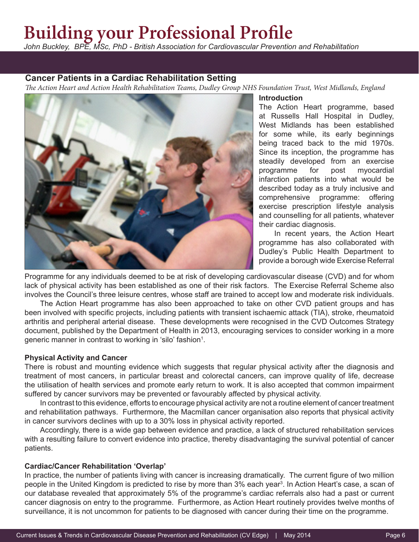## **Building your Professional Profile**

*John Buckley, BPE, MSc, PhD - British Association for Cardiovascular Prevention and Rehabilitation*

#### **Cancer Patients in a Cardiac Rehabilitation Setting**

*The Action Heart and Action Health Rehabilitation Teams, Dudley Group NHS Foundation Trust, West Midlands, England*



#### **Introduction**

The Action Heart programme, based at Russells Hall Hospital in Dudley, West Midlands has been established for some while, its early beginnings being traced back to the mid 1970s. Since its inception, the programme has steadily developed from an exercise programme for post myocardial infarction patients into what would be described today as a truly inclusive and comprehensive programme: offering exercise prescription lifestyle analysis and counselling for all patients, whatever their cardiac diagnosis.

In recent years, the Action Heart programme has also collaborated with Dudley's Public Health Department to provide a borough wide Exercise Referral

Programme for any individuals deemed to be at risk of developing cardiovascular disease (CVD) and for whom lack of physical activity has been established as one of their risk factors. The Exercise Referral Scheme also involves the Council's three leisure centres, whose staff are trained to accept low and moderate risk individuals.

The Action Heart programme has also been approached to take on other CVD patient groups and has been involved with specific projects, including patients with transient ischaemic attack (TIA), stroke, rheumatoid arthritis and peripheral arterial disease. These developments were recognised in the CVD Outcomes Strategy document, published by the Department of Health in 2013, encouraging services to consider working in a more generic manner in contrast to working in 'silo' fashion<sup>1</sup>.

#### **Physical Activity and Cancer**

There is robust and mounting evidence which suggests that regular physical activity after the diagnosis and treatment of most cancers, in particular breast and colorectal cancers, can improve quality of life, decrease the utilisation of health services and promote early return to work. It is also accepted that common impairment suffered by cancer survivors may be prevented or favourably affected by physical activity.

In contrast to this evidence, efforts to encourage physical activity are not a routine element of cancer treatment and rehabilitation pathways. Furthermore, the Macmillan cancer organisation also reports that physical activity in cancer survivors declines with up to a 30% loss in physical activity reported.

Accordingly, there is a wide gap between evidence and practice, a lack of structured rehabilitation services with a resulting failure to convert evidence into practice, thereby disadvantaging the survival potential of cancer patients.

#### **Cardiac/Cancer Rehabilitation 'Overlap'**

In practice, the number of patients living with cancer is increasing dramatically. The current figure of two million people in the United Kingdom is predicted to rise by more than 3% each year<sup>3</sup>. In Action Heart's case, a scan of our database revealed that approximately 5% of the programme's cardiac referrals also had a past or current cancer diagnosis on entry to the programme. Furthermore, as Action Heart routinely provides twelve months of surveillance, it is not uncommon for patients to be diagnosed with cancer during their time on the programme.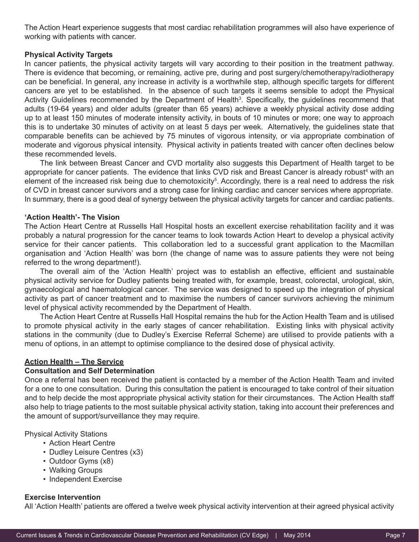The Action Heart experience suggests that most cardiac rehabilitation programmes will also have experience of working with patients with cancer.

#### **Physical Activity Targets**

In cancer patients, the physical activity targets will vary according to their position in the treatment pathway. There is evidence that becoming, or remaining, active pre, during and post surgery/chemotherapy/radiotherapy can be beneficial. In general, any increase in activity is a worthwhile step, although specific targets for different cancers are yet to be established. In the absence of such targets it seems sensible to adopt the Physical Activity Guidelines recommended by the Department of Health<sup>3</sup>. Specifically, the guidelines recommend that adults (19-64 years) and older adults (greater than 65 years) achieve a weekly physical activity dose adding up to at least 150 minutes of moderate intensity activity, in bouts of 10 minutes or more; one way to approach this is to undertake 30 minutes of activity on at least 5 days per week. Alternatively, the guidelines state that comparable benefits can be achieved by 75 minutes of vigorous intensity, or via appropriate combination of moderate and vigorous physical intensity. Physical activity in patients treated with cancer often declines below these recommended levels.

The link between Breast Cancer and CVD mortality also suggests this Department of Health target to be appropriate for cancer patients. The evidence that links CVD risk and Breast Cancer is already robust<sup>4</sup> with an element of the increased risk being due to chemotoxicity<sup>5</sup>. Accordingly, there is a real need to address the risk of CVD in breast cancer survivors and a strong case for linking cardiac and cancer services where appropriate. In summary, there is a good deal of synergy between the physical activity targets for cancer and cardiac patients.

#### **'Action Health'- The Vision**

The Action Heart Centre at Russells Hall Hospital hosts an excellent exercise rehabilitation facility and it was probably a natural progression for the cancer teams to look towards Action Heart to develop a physical activity service for their cancer patients. This collaboration led to a successful grant application to the Macmillan organisation and 'Action Health' was born (the change of name was to assure patients they were not being referred to the wrong department!).

The overall aim of the 'Action Health' project was to establish an effective, efficient and sustainable physical activity service for Dudley patients being treated with, for example, breast, colorectal, urological, skin, gynaecological and haematological cancer. The service was designed to speed up the integration of physical activity as part of cancer treatment and to maximise the numbers of cancer survivors achieving the minimum level of physical activity recommended by the Department of Health.

The Action Heart Centre at Russells Hall Hospital remains the hub for the Action Health Team and is utilised to promote physical activity in the early stages of cancer rehabilitation. Existing links with physical activity stations in the community (due to Dudley's Exercise Referral Scheme) are utilised to provide patients with a menu of options, in an attempt to optimise compliance to the desired dose of physical activity.

#### **Action Health – The Service**

#### **Consultation and Self Determination**

Once a referral has been received the patient is contacted by a member of the Action Health Team and invited for a one to one consultation. During this consultation the patient is encouraged to take control of their situation and to help decide the most appropriate physical activity station for their circumstances. The Action Health staff also help to triage patients to the most suitable physical activity station, taking into account their preferences and the amount of support/surveillance they may require.

Physical Activity Stations

- Action Heart Centre
- Dudley Leisure Centres (x3)
- Outdoor Gyms (x8)
- Walking Groups
- Independent Exercise

#### **Exercise Intervention**

All 'Action Health' patients are offered a twelve week physical activity intervention at their agreed physical activity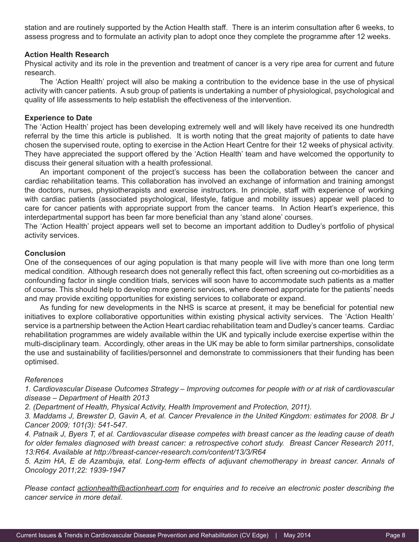station and are routinely supported by the Action Health staff. There is an interim consultation after 6 weeks, to assess progress and to formulate an activity plan to adopt once they complete the programme after 12 weeks.

#### **Action Health Research**

Physical activity and its role in the prevention and treatment of cancer is a very ripe area for current and future research.

The 'Action Health' project will also be making a contribution to the evidence base in the use of physical activity with cancer patients. A sub group of patients is undertaking a number of physiological, psychological and quality of life assessments to help establish the effectiveness of the intervention.

#### **Experience to Date**

The 'Action Health' project has been developing extremely well and will likely have received its one hundredth referral by the time this article is published. It is worth noting that the great majority of patients to date have chosen the supervised route, opting to exercise in the Action Heart Centre for their 12 weeks of physical activity. They have appreciated the support offered by the 'Action Health' team and have welcomed the opportunity to discuss their general situation with a health professional.

An important component of the project's success has been the collaboration between the cancer and cardiac rehabilitation teams. This collaboration has involved an exchange of information and training amongst the doctors, nurses, physiotherapists and exercise instructors. In principle, staff with experience of working with cardiac patients (associated psychological, lifestyle, fatigue and mobility issues) appear well placed to care for cancer patients with appropriate support from the cancer teams. In Action Heart's experience, this interdepartmental support has been far more beneficial than any 'stand alone' courses.

The 'Action Health' project appears well set to become an important addition to Dudley's portfolio of physical activity services.

#### **Conclusion**

One of the consequences of our aging population is that many people will live with more than one long term medical condition. Although research does not generally reflect this fact, often screening out co-morbidities as a confounding factor in single condition trials, services will soon have to accommodate such patients as a matter of course. This should help to develop more generic services, where deemed appropriate for the patients' needs and may provide exciting opportunities for existing services to collaborate or expand.

As funding for new developments in the NHS is scarce at present, it may be beneficial for potential new initiatives to explore collaborative opportunities within existing physical activity services. The 'Action Health' service is a partnership between the Action Heart cardiac rehabilitation team and Dudley's cancer teams. Cardiac rehabilitation programmes are widely available within the UK and typically include exercise expertise within the multi-disciplinary team. Accordingly, other areas in the UK may be able to form similar partnerships, consolidate the use and sustainability of facilities/personnel and demonstrate to commissioners that their funding has been optimised.

#### *References*

*1. Cardiovascular Disease Outcomes Strategy – Improving outcomes for people with or at risk of cardiovascular disease – Department of Health 2013*

*2. (Department of Health, Physical Activity, Health Improvement and Protection, 2011).* 

*3. Maddams J, Brewster D, Gavin A, et al. Cancer Prevalence in the United Kingdom: estimates for 2008. Br J Cancer 2009; 101(3): 541-547.*

*4. Patnaik J, Byers T, et al. Cardiovascular disease competes with breast cancer as the leading cause of death for older females diagnosed with breast cancer: a retrospective cohort study. Breast Cancer Research 2011, 13:R64. Available at http://breast-cancer-research.com/content/13/3/R64*

*5. Azim HA, E de Azambuja, etal. Long-term effects of adjuvant chemotherapy in breast cancer. Annals of Oncology 2011;22: 1939-1947*

*Please contact actionhealth@actionheart.com for enquiries and to receive an electronic poster describing the cancer service in more detail.*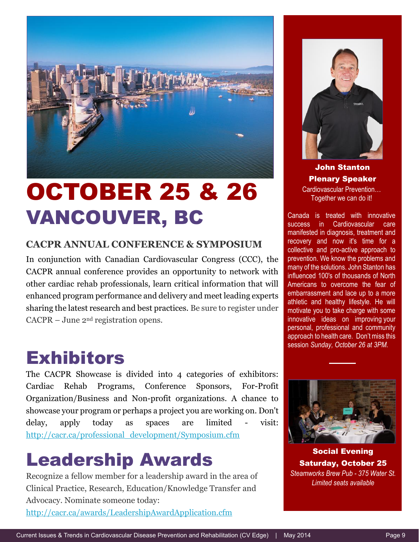

# OCTOBER 25 & 26 VANCOUVER, BC

#### **CACPR ANNUAL CONFERENCE & SYMPOSIUM**

In conjunction with Canadian Cardiovascular Congress (CCC), the CACPR annual conference provides an opportunity to network with other cardiac rehab professionals, learn critical information that will enhanced program performance and delivery and meet leading experts sharing the latest research and best practices. Be sure to register under CACPR – June 2nd registration opens.

### Exhibitors

The CACPR Showcase is divided into 4 categories of exhibitors: Cardiac Rehab Programs, Conference Sponsors, For-Profit Organization/Business and Non-profit organizations. A chance to showcase your program or perhaps a project you are working on. Don't delay, apply today as spaces are limited - visit: http://cacr.ca/professional\_development/Symposium.cfm

### Leadership Awards

Recognize a fellow member for a leadership award in the area of Clinical Practice, Research, Education/Knowledge Transfer and Advocacy. Nominate someone today:

http://cacr.ca/awards/LeadershipAwardApplication.cfm



John Stanton Plenary Speaker Cardiovascular Prevention… Together we can do it!

Canada is treated with innovative success in Cardiovascular care manifested in diagnosis, treatment and recovery and now it's time for a collective and pro-active approach to prevention. We know the problems and many of the solutions. John Stanton has influenced 100's of thousands of North Americans to overcome the fear of embarrassment and lace up to a more athletic and healthy lifestyle. He will motivate you to take charge with some innovative ideas on improving your personal, professional and community approach to health care. Don't miss this session *Sunday, October 26 at 3PM.*



Social Evening Saturday, October 25 *Steamworks Brew Pub - 375 Water St. Limited seats available*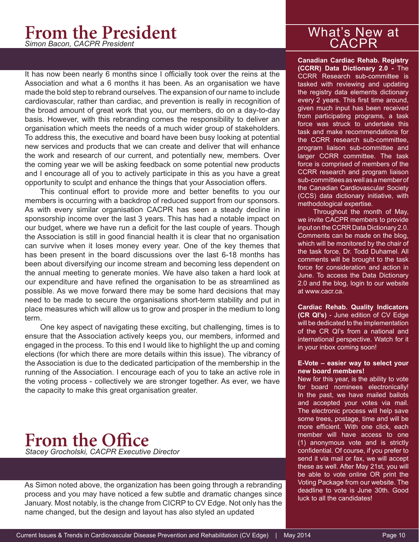# **From the President**

It has now been nearly 6 months since I officially took over the reins at the Association and what a 6 months it has been. As an organisation we have made the bold step to rebrand ourselves. The expansion of our name to include cardiovascular, rather than cardiac, and prevention is really in recognition of the broad amount of great work that you, our members, do on a day-to-day basis. However, with this rebranding comes the responsibility to deliver an organisation which meets the needs of a much wider group of stakeholders. To address this, the executive and board have been busy looking at potential new services and products that we can create and deliver that will enhance the work and research of our current, and potentially new, members. Over the coming year we will be asking feedback on some potential new products and I encourage all of you to actively participate in this as you have a great opportunity to sculpt and enhance the things that your Association offers.

This continual effort to provide more and better benefits to you our members is occurring with a backdrop of reduced support from our sponsors. As with every similar organisation CACPR has seen a steady decline in sponsorship income over the last 3 years. This has had a notable impact on our budget, where we have run a deficit for the last couple of years. Though the Association is still in good financial health it is clear that no organisation can survive when it loses money every year. One of the key themes that has been present in the board discussions over the last 6-18 months has been about diversifying our income stream and becoming less dependent on the annual meeting to generate monies. We have also taken a hard look at our expenditure and have refined the organisation to be as streamlined as possible. As we move forward there may be some hard decisions that may need to be made to secure the organisations short-term stability and put in place measures which will allow us to grow and prosper in the medium to long term.

One key aspect of navigating these exciting, but challenging, times is to ensure that the Association actively keeps you, our members, informed and engaged in the process. To this end I would like to highlight the up and coming elections (for which there are more details within this issue). The vibrancy of the Association is due to the dedicated participation of the membership in the running of the Association. I encourage each of you to take an active role in the voting process - collectively we are stronger together. As ever, we have the capacity to make this great organisation greater.

### *Stacey Grocholski, CACPR Executive Director* **From the Office**

As Simon noted above, the organization has been going through a rebranding process and you may have noticed a few subtle and dramatic changes since January. Most notably, is the change from CICRP to CV Edge. Not only has the name changed, but the design and layout has also styled an updated

# What's New at<br>
CACPR

**Canadian Cardiac Rehab. Registry (CCRR) Data Dictionary 2.0 -** The CCRR Research sub-committee is tasked with reviewing and updating the registry data elements dictionary every 2 years. This first time around, given much input has been received from participating programs, a task force was struck to undertake this task and make recommendations for the CCRR research sub-committee, program liaison sub-committee and larger CCRR committee. The task force is comprised of members of the CCRR research and program liaison sub-committees as well as a member of the Canadian Cardiovascular Society (CCS) data dictionary initiative, with methodological expertise.

Throughout the month of May, we invite CACPR members to provide input on the CCRR Data Dictionary 2.0. Comments can be made on the blog, which will be monitored by the chair of the task force, Dr. Todd Duhamel. All comments will be brought to the task force for consideration and action in June. To access the Data Dictionary 2.0 and the blog, login to our website at www.cacr.ca.

**Cardiac Rehab. Quality Indicators (CR QI's)** - June edition of CV Edge will be dedicated to the implementation of the CR QI's from a national and international perspective. Watch for it in your inbox coming soon!

#### **E-Vote – easier way to select your new board members!**

New for this year, is the ability to vote for board nominees electronically! In the past, we have mailed ballots and accepted your votes via mail. The electronic process will help save some trees, postage, time and will be more efficient. With one click, each member will have access to one (1) anonymous vote and is strictly confidential. Of course, if you prefer to send it via mail or fax, we will accept these as well. After May 21st, you will be able to vote online OR print the Voting Package from our website. The deadline to vote is June 30th. Good luck to all the candidates!